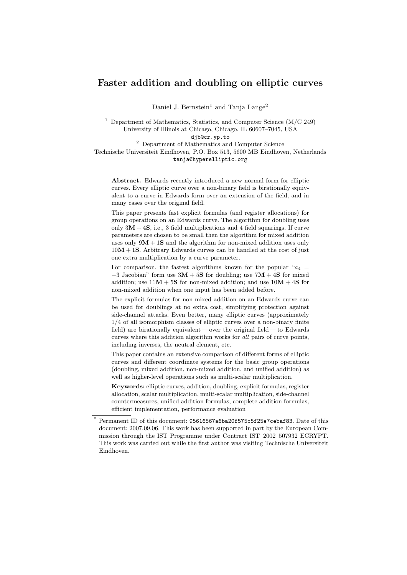# Faster addition and doubling on elliptic curves

Daniel J. Bernstein<sup>1</sup> and Tanja Lange<sup>2</sup>

<sup>1</sup> Department of Mathematics, Statistics, and Computer Science  $(M/C 249)$ University of Illinois at Chicago, Chicago, IL 60607–7045, USA

djb@cr.yp.to

<sup>2</sup> Department of Mathematics and Computer Science Technische Universiteit Eindhoven, P.O. Box 513, 5600 MB Eindhoven, Netherlands tanja@hyperelliptic.org

Abstract. Edwards recently introduced a new normal form for elliptic curves. Every elliptic curve over a non-binary field is birationally equivalent to a curve in Edwards form over an extension of the field, and in many cases over the original field.

This paper presents fast explicit formulas (and register allocations) for group operations on an Edwards curve. The algorithm for doubling uses only  $3M + 4S$ , i.e., 3 field multiplications and 4 field squarings. If curve parameters are chosen to be small then the algorithm for mixed addition uses only  $9M + 1S$  and the algorithm for non-mixed addition uses only  $10M + 1S$ . Arbitrary Edwards curves can be handled at the cost of just one extra multiplication by a curve parameter.

For comparison, the fastest algorithms known for the popular " $a_4$ "  $-3$  Jacobian" form use  $3M + 5S$  for doubling; use  $7M + 4S$  for mixed addition; use  $11M + 5S$  for non-mixed addition; and use  $10M + 4S$  for non-mixed addition when one input has been added before.

The explicit formulas for non-mixed addition on an Edwards curve can be used for doublings at no extra cost, simplifying protection against side-channel attacks. Even better, many elliptic curves (approximately 1/4 of all isomorphism classes of elliptic curves over a non-binary finite field) are birationally equivalent— over the original field— to Edwards curves where this addition algorithm works for all pairs of curve points, including inverses, the neutral element, etc.

This paper contains an extensive comparison of different forms of elliptic curves and different coordinate systems for the basic group operations (doubling, mixed addition, non-mixed addition, and unified addition) as well as higher-level operations such as multi-scalar multiplication.

Keywords: elliptic curves, addition, doubling, explicit formulas, register allocation, scalar multiplication, multi-scalar multiplication, side-channel countermeasures, unified addition formulas, complete addition formulas, efficient implementation, performance evaluation

Permanent ID of this document: 95616567a6ba20f575c5f25e7cebaf83. Date of this document: 2007.09.06. This work has been supported in part by the European Commission through the IST Programme under Contract IST–2002–507932 ECRYPT. This work was carried out while the first author was visiting Technische Universiteit Eindhoven.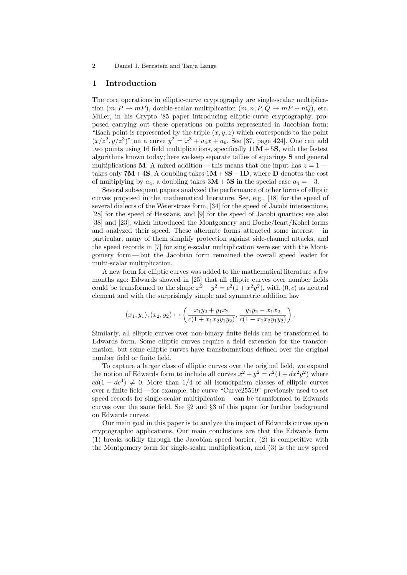## 1 Introduction

The core operations in elliptic-curve cryptography are single-scalar multiplication  $(m, P \mapsto mP)$ , double-scalar multiplication  $(m, n, P, Q \mapsto mP + nQ)$ , etc. Miller, in his Crypto '85 paper introducing elliptic-curve cryptography, proposed carrying out these operations on points represented in Jacobian form: "Each point is represented by the triple  $(x, y, z)$  which corresponds to the point  $(x/z^2, y/z^3)$ " on a curve  $y^2 = x^3 + a_4x + a_6$ . See [37, page 424]. One can add two points using 16 field multiplications, specifically  $11M + 5S$ , with the fastest algorithms known today; here we keep separate tallies of squarings S and general multiplications M. A mixed addition—this means that one input has  $z = 1$  takes only  $7M+4S$ . A doubling takes  $1M+8S+1D$ , where D denotes the cost of multiplying by  $a_4$ ; a doubling takes  $3M + 5S$  in the special case  $a_4 = -3$ .

Several subsequent papers analyzed the performance of other forms of elliptic curves proposed in the mathematical literature. See, e.g., [18] for the speed of several dialects of the Weierstrass form, [34] for the speed of Jacobi intersections, [28] for the speed of Hessians, and [9] for the speed of Jacobi quartics; see also [38] and [23], which introduced the Montgomery and Doche/Icart/Kohel forms and analyzed their speed. These alternate forms attracted some interest— in particular, many of them simplify protection against side-channel attacks, and the speed records in [7] for single-scalar multiplication were set with the Montgomery form — but the Jacobian form remained the overall speed leader for multi-scalar multiplication.

A new form for elliptic curves was added to the mathematical literature a few months ago: Edwards showed in [25] that all elliptic curves over number fields could be transformed to the shape  $x^2 + y^2 = c^2(1 + x^2y^2)$ , with  $(0, c)$  as neutral element and with the surprisingly simple and symmetric addition law

$$
(x_1, y_1), (x_2, y_2) \mapsto \left(\frac{x_1y_2 + y_1x_2}{c(1 + x_1x_2y_1y_2)}, \frac{y_1y_2 - x_1x_2}{c(1 - x_1x_2y_1y_2)}\right).
$$

Similarly, all elliptic curves over non-binary finite fields can be transformed to Edwards form. Some elliptic curves require a field extension for the transformation, but some elliptic curves have transformations defined over the original number field or finite field.

To capture a larger class of elliptic curves over the original field, we expand the notion of Edwards form to include all curves  $x^2 + y^2 = c^2(1 + dx^2y^2)$  where  $cd(1 - dc^4) \neq 0$ . More than 1/4 of all isomorphism classes of elliptic curves over a finite field— for example, the curve "Curve25519" previously used to set speed records for single-scalar multiplication — can be transformed to Edwards curves over the same field. See §2 and §3 of this paper for further background on Edwards curves.

Our main goal in this paper is to analyze the impact of Edwards curves upon cryptographic applications. Our main conclusions are that the Edwards form (1) breaks solidly through the Jacobian speed barrier, (2) is competitive with the Montgomery form for single-scalar multiplication, and (3) is the new speed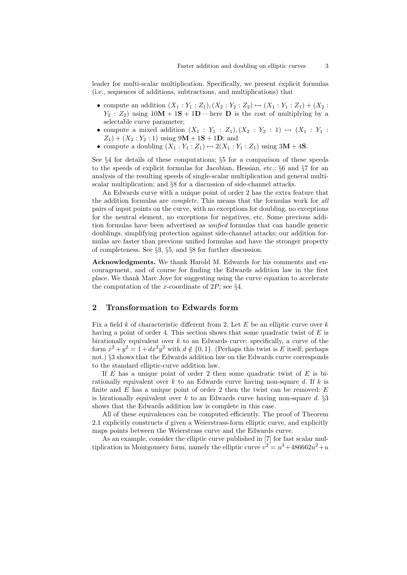leader for multi-scalar multiplication. Specifically, we present explicit formulas (i.e., sequences of additions, subtractions, and multiplications) that

- compute an addition  $(X_1 : Y_1 : Z_1), (X_2 : Y_2 : Z_2) \mapsto (X_1 : Y_1 : Z_1) + (X_2 : Y_2 : Z_2)$  $Y_2$ :  $Z_2$ ) using  $10M + 1S + 1D$ — here **D** is the cost of multiplying by a selectable curve parameter;
- compute a mixed addition  $(X_1 : Y_1 : Z_1), (X_2 : Y_2 : 1) \mapsto (X_1 : Y_1 : Y_2)$  $Z_1$  + ( $X_2$  :  $Y_2$  : 1) using 9M + 1S + 1D; and
- compute a doubling  $(X_1 : Y_1 : Z_1) \mapsto 2(X_1 : Y_1 : Z_1)$  using  $3M + 4S$ .

See §4 for details of these computations; §5 for a comparison of these speeds to the speeds of explicit formulas for Jacobian, Hessian, etc.; §6 and §7 for an analysis of the resulting speeds of single-scalar multiplication and general multiscalar multiplication; and §8 for a discussion of side-channel attacks.

An Edwards curve with a unique point of order 2 has the extra feature that the addition formulas are *complete*. This means that the formulas work for all pairs of input points on the curve, with no exceptions for doubling, no exceptions for the neutral element, no exceptions for negatives, etc. Some previous addition formulas have been advertised as unified formulas that can handle generic doublings, simplifying protection against side-channel attacks; our addition formulas are faster than previous unified formulas and have the stronger property of completeness. See §3, §5, and §8 for further discussion.

Acknowledgments. We thank Harold M. Edwards for his comments and encouragement, and of course for finding the Edwards addition law in the first place. We thank Marc Joye for suggesting using the curve equation to accelerate the computation of the x-coordinate of  $2P$ ; see §4.

## 2 Transformation to Edwards form

Fix a field  $k$  of characteristic different from 2. Let  $E$  be an elliptic curve over  $k$ having a point of order 4. This section shows that some quadratic twist of  $E$  is birationally equivalent over  $k$  to an Edwards curve: specifically, a curve of the form  $x^2 + y^2 = 1 + dx^2y^2$  with  $d \notin \{0, 1\}$ . (Perhaps this twist is E itself; perhaps not.) §3 shows that the Edwards addition law on the Edwards curve corresponds to the standard elliptic-curve addition law.

If  $E$  has a unique point of order 2 then some quadratic twist of  $E$  is birationally equivalent over  $k$  to an Edwards curve having non-square  $d$ . If  $k$  is finite and  $E$  has a unique point of order 2 then the twist can be removed:  $E$ is birationally equivalent over  $k$  to an Edwards curve having non-square  $d. \S3$ shows that the Edwards addition law is complete in this case.

All of these equivalences can be computed efficiently. The proof of Theorem 2.1 explicitly constructs d given a Weierstrass-form elliptic curve, and explicitly maps points between the Weierstrass curve and the Edwards curve.

As an example, consider the elliptic curve published in [7] for fast scalar multiplication in Montgomery form, namely the elliptic curve  $v^2 = u^3 + 486662u^2 + u$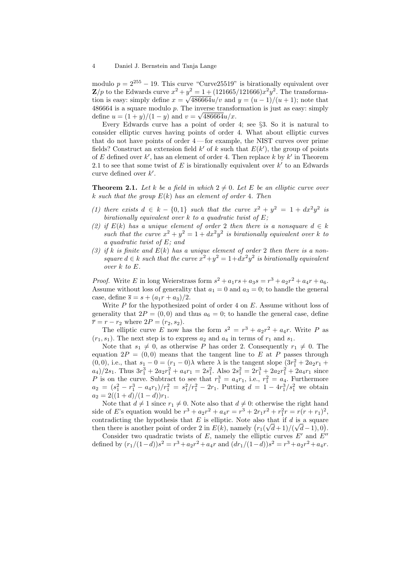modulo  $p = 2^{255} - 19$ . This curve "Curve  $25519$ " is birationally equivalent over  $\mathbf{Z}/p$  to the Edwards curve  $x^2 + y^2 = 1 + (121665/121666)x^2y^2$ . The transformation is easy: simply define  $x = \sqrt{486664u/v}$  and  $y = (u-1)/(u+1)$ ; note that  $486664$  is a square modulo p. The inverse transformation is just as easy: simply define  $u = (1 + y)/(1 - y)$  and  $v = \sqrt{486664u/x}$ .

Every Edwards curve has a point of order 4; see §3. So it is natural to consider elliptic curves having points of order 4. What about elliptic curves that do not have points of order 4— for example, the NIST curves over prime fields? Construct an extension field  $k'$  of k such that  $E(k')$ , the group of points of E defined over  $k'$ , has an element of order 4. Then replace k by  $k'$  in Theorem 2.1 to see that some twist of  $E$  is birationally equivalent over  $k'$  to an Edwards curve defined over  $k'$ .

**Theorem 2.1.** Let k be a field in which  $2 \neq 0$ . Let E be an elliptic curve over k such that the group  $E(k)$  has an element of order 4. Then

- (1) there exists  $d \in k \{0, 1\}$  such that the curve  $x^2 + y^2 = 1 + dx^2y^2$  is birationally equivalent over  $k$  to a quadratic twist of  $E$ ;
- (2) if  $E(k)$  has a unique element of order 2 then there is a nonsquare  $d \in k$ such that the curve  $x^2 + y^2 = 1 + dx^2y^2$  is birationally equivalent over k to a quadratic twist of E; and
- (3) if k is finite and  $E(k)$  has a unique element of order 2 then there is a nonsquare  $d \in k$  such that the curve  $x^2 + y^2 = 1 + dx^2y^2$  is birationally equivalent over k to E.

*Proof.* Write E in long Weierstrass form  $s^2 + a_1rs + a_3s = r^3 + a_2r^2 + a_4r + a_6$ . Assume without loss of generality that  $a_1 = 0$  and  $a_3 = 0$ ; to handle the general case, define  $\bar{s} = s + (a_1r + a_3)/2$ .

Write  $P$  for the hypothesized point of order 4 on  $E$ . Assume without loss of generality that  $2P = (0,0)$  and thus  $a_6 = 0$ ; to handle the general case, define  $\bar{r} = r - r_2$  where  $2P = (r_2, s_2)$ .

The elliptic curve E now has the form  $s^2 = r^3 + a_2r^2 + a_4r$ . Write P as  $(r_1, s_1)$ . The next step is to express  $a_2$  and  $a_4$  in terms of  $r_1$  and  $s_1$ .

Note that  $s_1 \neq 0$ , as otherwise P has order 2. Consequently  $r_1 \neq 0$ . The equation  $2P = (0,0)$  means that the tangent line to E at P passes through (0,0), i.e., that  $s_1 - 0 = (r_1 - 0)\lambda$  where  $\lambda$  is the tangent slope  $(3r_1^2 + 2a_2r_1 +$  $a_4$ / $2s_1$ . Thus  $3r_1^3 + 2a_2r_1^2 + a_4r_1 = 2s_1^2$ . Also  $2s_1^2 = 2r_1^3 + 2a_2r_1^2 + 2a_4r_1$  since P is on the curve. Subtract to see that  $r_1^3 = a_4r_1$ , i.e.,  $r_1^2 = a_4$ . Furthermore  $a_2 = (s_1^2 - r_1^3 - a_4r_1)/r_1^2 = s_1^2/r_1^2 - 2r_1$ . Putting  $d = 1 - 4r_1^3/s_1^2$  we obtain  $a_2 = 2((1+d)/(1-d))r_1.$ 

Note that  $d \neq 1$  since  $r_1 \neq 0$ . Note also that  $d \neq 0$ : otherwise the right hand side of E's equation would be  $r^3 + a_2r^2 + a_4r = r^3 + 2r_1r^2 + r_1^2r = r(r + r_1)^2$ , contradicting the hypothesis that E is elliptic. Note also that if d is a square then there is another point of order 2 in  $E(k)$ , namely  $(r_1(\sqrt{d}+1)/(\sqrt{d}-1),0)$ .

Consider two quadratic twists of E, namely the elliptic curves  $E'$  and  $E''$ defined by  $(r_1/(1-d))s^2 = r^3 + a_2r^2 + a_4r$  and  $(dr_1/(1-d))s^2 = r^3 + a_2r^2 + a_4r$ .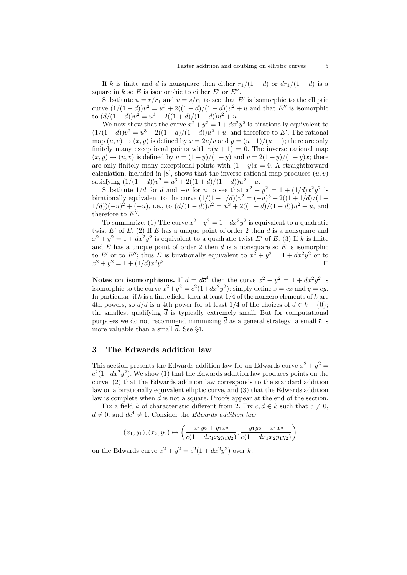If k is finite and d is nonsquare then either  $r_1/(1-d)$  or  $dr_1/(1-d)$  is a square in k so E is isomorphic to either E' or  $E''$ .

Substitute  $u = r/r_1$  and  $v = s/r_1$  to see that E' is isomorphic to the elliptic curve  $(1/(1-d))v^2 = u^3 + 2((1+d)/(1-d))u^2 + u$  and that E'' is isomorphic to  $\left(\frac{d}{1-d}\right)v^2 = u^3 + 2\left(\frac{1+d}{1-d}\right)u^2 + u.$ 

We now show that the curve  $x^2 + y^2 = 1 + dx^2y^2$  is birationally equivalent to  $(1/(1-d))v^2 = u^3 + 2((1+d)/(1-d))u^2 + u$ , and therefore to E'. The rational map  $(u, v) \mapsto (x, y)$  is defined by  $x = 2u/v$  and  $y = (u-1)/(u+1)$ ; there are only finitely many exceptional points with  $v(u + 1) = 0$ . The inverse rational map  $(x, y) \mapsto (u, v)$  is defined by  $u = (1 + y)/(1 - y)$  and  $v = 2(1 + y)/(1 - y)x$ ; there are only finitely many exceptional points with  $(1 - y)x = 0$ . A straightforward calculation, included in  $[8]$ , shows that the inverse rational map produces  $(u, v)$ satisfying  $(1/(1-d))v^2 = u^3 + 2((1+d)/(1-d))u^2 + u$ .

Substitute  $1/d$  for d and  $-u$  for u to see that  $x^2 + y^2 = 1 + (1/d)x^2y^2$  is birationally equivalent to the curve  $(1/(1 - 1/d))v^2 = (-u)^3 + 2((1 + 1/d)/(1 1/(d))(-u)^2 + (-u)$ , i.e., to  $(d/(1-d))v^2 = u^3 + 2((1+d)/(1-d))u^2 + u$ , and therefore to  $E''$ .

To summarize: (1) The curve  $x^2 + y^2 = 1 + dx^2y^2$  is equivalent to a quadratic twist  $E'$  of E. (2) If E has a unique point of order 2 then d is a nonsquare and  $x^2 + y^2 = 1 + dx^2y^2$  is equivalent to a quadratic twist E' of E. (3) If k is finite and  $E$  has a unique point of order 2 then  $d$  is a nonsquare so  $E$  is isomorphic to E' or to E''; thus E is birationally equivalent to  $x^2 + y^2 = 1 + dx^2y^2$  or to  $x^2 + y^2 = 1 + (1/d)x^2y^2$ . The contract of the contract of the contract  $\Box$ 

Notes on isomorphisms. If  $d = \overline{d}\overline{c}^4$  then the curve  $x^2 + y^2 = 1 + dx^2y^2$  is isomorphic to the curve  $\overline{x}^2 + \overline{y}^2 = \overline{c}^2(1 + \overline{d}\overline{x}^2\overline{y}^2)$ : simply define  $\overline{x} = \overline{c}x$  and  $\overline{y} = \overline{c}y$ . In particular, if k is a finite field, then at least  $1/4$  of the nonzero elements of k are 4th powers, so  $d/\overline{d}$  is a 4th power for at least 1/4 of the choices of  $\overline{d} \in k - \{0\}$ ; the smallest qualifying  $\bar{d}$  is typically extremely small. But for computational purposes we do not recommend minimizing  $\bar{d}$  as a general strategy: a small  $\bar{c}$  is more valuable than a small  $\overline{d}$ . See §4.

## 3 The Edwards addition law

This section presents the Edwards addition law for an Edwards curve  $x^2 + y^2 =$  $c^2(1+dx^2y^2)$ . We show (1) that the Edwards addition law produces points on the curve, (2) that the Edwards addition law corresponds to the standard addition law on a birationally equivalent elliptic curve, and (3) that the Edwards addition law is complete when d is not a square. Proofs appear at the end of the section.

Fix a field k of characteristic different from 2. Fix  $c, d \in k$  such that  $c \neq 0$ ,  $d \neq 0$ , and  $dc<sup>4</sup> \neq 1$ . Consider the *Edwards addition law* 

$$
(x_1, y_1), (x_2, y_2) \mapsto \left(\frac{x_1y_2 + y_1x_2}{c(1 + dx_1x_2y_1y_2)}, \frac{y_1y_2 - x_1x_2}{c(1 - dx_1x_2y_1y_2)}\right)
$$

on the Edwards curve  $x^2 + y^2 = c^2(1 + dx^2y^2)$  over k.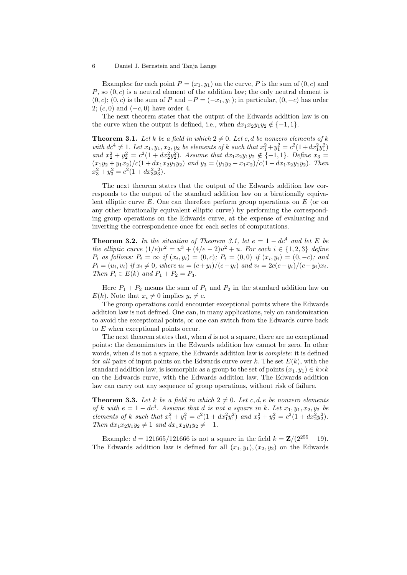Examples: for each point  $P = (x_1, y_1)$  on the curve, P is the sum of  $(0, c)$  and  $P$ , so  $(0, c)$  is a neutral element of the addition law; the only neutral element is  $(0, c)$ ;  $(0, c)$  is the sum of P and  $-P = (-x_1, y_1)$ ; in particular,  $(0, -c)$  has order 2;  $(c, 0)$  and  $(-c, 0)$  have order 4.

The next theorem states that the output of the Edwards addition law is on the curve when the output is defined, i.e., when  $dx_1x_2y_1y_2 \notin \{-1,1\}$ .

**Theorem 3.1.** Let k be a field in which  $2 \neq 0$ . Let c, d be nonzero elements of k with  $dc^4 \neq 1$ . Let  $x_1, y_1, x_2, y_2$  be elements of k such that  $x_1^2 + y_1^2 = c^2(1 + dx_1^2y_1^2)$ and  $x_2^2 + y_2^2 = c^2(1 + dx_2^2y_2^2)$ . Assume that  $dx_1x_2y_1y_2 \notin \{-1,1\}$ . Define  $x_3 =$  $(x_1y_2 + y_1x_2)/c(1 + dx_1x_2y_1y_2)$  and  $y_3 = (y_1y_2 - x_1x_2)/c(1 - dx_1x_2y_1y_2)$ . Then  $x_3^2 + y_3^2 = c^2(1 + dx_3^2y_3^2).$ 

The next theorem states that the output of the Edwards addition law corresponds to the output of the standard addition law on a birationally equivalent elliptic curve  $E$ . One can therefore perform group operations on  $E$  (or on any other birationally equivalent elliptic curve) by performing the corresponding group operations on the Edwards curve, at the expense of evaluating and inverting the correspondence once for each series of computations.

**Theorem 3.2.** In the situation of Theorem 3.1, let  $e = 1 - dc^4$  and let E be the elliptic curve  $(1/e)v^2 = u^3 + (4/e - 2)u^2 + u$ . For each  $i \in \{1, 2, 3\}$  define  $P_i$  as follows:  $P_i = \infty$  if  $(x_i, y_i) = (0, c)$ ;  $P_i = (0, 0)$  if  $(x_i, y_i) = (0, -c)$ ; and  $P_i = (u_i, v_i)$  if  $x_i \neq 0$ , where  $u_i = (c+y_i)/(c-y_i)$  and  $v_i = 2c(c+y_i)/(c-y_i)x_i$ . Then  $P_i \in E(k)$  and  $P_1 + P_2 = P_3$ .

Here  $P_1 + P_2$  means the sum of  $P_1$  and  $P_2$  in the standard addition law on  $E(k)$ . Note that  $x_i \neq 0$  implies  $y_i \neq c$ .

The group operations could encounter exceptional points where the Edwards addition law is not defined. One can, in many applications, rely on randomization to avoid the exceptional points, or one can switch from the Edwards curve back to E when exceptional points occur.

The next theorem states that, when  $d$  is not a square, there are no exceptional points: the denominators in the Edwards addition law cannot be zero. In other words, when  $d$  is not a square, the Edwards addition law is *complete*: it is defined for all pairs of input points on the Edwards curve over k. The set  $E(k)$ , with the standard addition law, is isomorphic as a group to the set of points  $(x_1, y_1) \in k \times k$ on the Edwards curve, with the Edwards addition law. The Edwards addition law can carry out any sequence of group operations, without risk of failure.

**Theorem 3.3.** Let k be a field in which  $2 \neq 0$ . Let c, d, e be nonzero elements of k with  $e = 1 - dc^4$ . Assume that d is not a square in k. Let  $x_1, y_1, x_2, y_2$  be elements of k such that  $x_1^2 + y_1^2 = c^2(1 + dx_1^2y_1^2)$  and  $x_2^2 + y_2^2 = c^2(1 + dx_2^2y_2^2)$ . Then  $dx_1x_2y_1y_2 \neq 1$  and  $dx_1x_2y_1y_2 \neq -1$ .

Example:  $d = 121665/121666$  is not a square in the field  $k = \mathbb{Z}/(2^{255} - 19)$ . The Edwards addition law is defined for all  $(x_1, y_1), (x_2, y_2)$  on the Edwards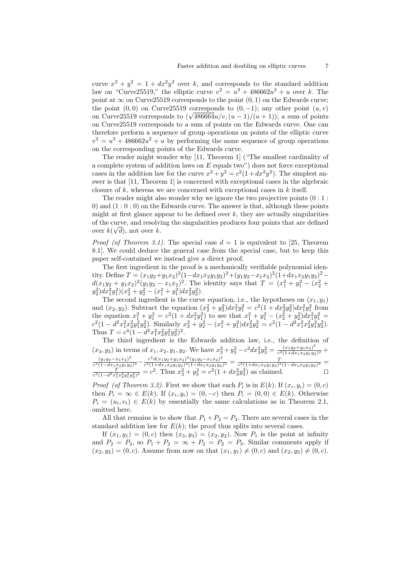curve  $x^2 + y^2 = 1 + dx^2y^2$  over k, and corresponds to the standard addition law on "Curve25519," the elliptic curve  $v^2 = u^3 + 486662u^2 + u$  over k. The point at  $\infty$  on Curve25519 corresponds to the point  $(0, 1)$  on the Edwards curve; the point  $(0, 0)$  on Curve25519 corresponds to  $(0, -1)$ ; any other point  $(u, v)$ the point (0,0) on Curvez 319 corresponds to  $(0, -1)$ ; any other point  $(u, v)$  on Curve 25519 corresponds to  $(\sqrt{486664}u/v, (u-1)/(u+1))$ ; a sum of points on Curve25519 corresponds to a sum of points on the Edwards curve. One can therefore perform a sequence of group operations on points of the elliptic curve  $v^2 = u^3 + 486662u^2 + u$  by performing the same sequence of group operations on the corresponding points of the Edwards curve.

The reader might wonder why [11, Theorem 1] ("The smallest cardinality of a complete system of addition laws on  $E$  equals two") does not force exceptional cases in the addition law for the curve  $x^2 + y^2 = c^2(1 + dx^2y^2)$ . The simplest answer is that [11, Theorem 1] is concerned with exceptional cases in the algebraic closure of k, whereas we are concerned with exceptional cases in  $k$  itself.

The reader might also wonder why we ignore the two projective points  $(0:1:$ 0) and  $(1:0:0)$  on the Edwards curve. The answer is that, although these points might at first glance appear to be defined over  $k$ , they are actually singularities of the curve, and resolving the singularities produces four points that are defined over  $k(\sqrt{d})$ , not over k.

*Proof (of Theorem 3.1).* The special case  $d = 1$  is equivalent to [25, Theorem 8.1]. We could deduce the general case from the special case, but to keep this paper self-contained we instead give a direct proof.

The first ingredient in the proof is a mechanically verifiable polynomial identity. Define  $T = (x_1y_2 + y_1x_2)^2(1 - dx_1x_2y_1y_2)^2 + (y_1y_2 - x_1x_2)^2(1 + dx_1x_2y_1y_2)^2$  $d(x_1y_2 + y_1x_2)^2(y_1y_2 - x_1x_2)^2$ . The identity says that  $T = (x_1^2 + y_1^2 - (x_2^2 + y_1^2))$  $y_2^2\big)dx_1^2y_1^2\big)(x_2^2+y_2^2-(x_1^2+y_1^2)dx_2^2y_2^2).$ 

The second ingredient is the curve equation, i.e., the hypotheses on  $(x_1, y_1)$ and  $(x_2, y_2)$ . Subtract the equation  $(x_2^2 + y_2^2)dx_1^2y_1^2 = c^2(1 + dx_2^2y_2^2)dx_1^2y_1^2$  from the equation  $x_1^2 + y_1^2 = c^2(1 + dx_1^2y_1^2)$  to see that  $x_1^2 + y_1^2 - (x_2^2 + y_2^2)dx_1^2y_1^2 =$  $c^2(1-d^2x_1^2x_2^2y_1^2y_2^2)$ . Similarly  $x_2^2+y_2^2-(x_1^2+y_1^2)dx_2^2y_2^2=c^2(1-d^2x_1^2x_2^2y_1^2y_2^2)$ . Thus  $T = c^4(1 - d^2x_1^2x_2^2y_1^2y_2^2)^2$ .

The third ingredient is the Edwards addition law, i.e., the definition of  $(x_3, y_3)$  in terms of  $x_1, x_2, y_1, y_2$ . We have  $x_3^2 + y_3^2 - c^2 dx_3^2 y_3^2 = \frac{(x_1 y_2 + y_1 x_2)^2}{c^2 (1 + dx_1 x_2 y_1 y_2)}$  $\frac{(x_1y_2+y_1x_2)^2}{c^2(1+dx_1x_2y_1y_2)^2} +$  $(y_1y_2-x_1x_2)^2$  $\frac{(y_1y_2-x_1x_2)^2}{c^2(1-dx_1x_2y_1y_2)^2}-\frac{c^2d(x_1y_2+y_1x_2)^2(y_1y_2-x_1x_2)^2}{c^4(1+dx_1x_2y_1y_2)^2(1-dx_1x_2y_1y_2)}$  $\frac{c^2d(x_1y_2+y_1x_2)^2(y_1y_2-x_1x_2)^2}{c^4(1+dx_1x_2y_1y_2)^2(1-dx_1x_2y_1y_2)^2} = \frac{T}{c^2(1+dx_1x_2y_1y_2)^2(1-dx_1x_2y_1y_2)^2} =$  $\frac{T}{c^2(1-d^2x_1^2x_2^2y_1^2y_2^2)^2} = c^2$ . Thus  $x_3^2 + y_3^2 = c^2(1+dx_3^2y_3^2)$  as claimed.  $\square$ 

*Proof (of Theorem 3.2)*. First we show that each  $P_i$  is in  $E(k)$ . If  $(x_i, y_i) = (0, c)$ then  $P_i = \infty \in E(k)$ . If  $(x_i, y_i) = (0, -c)$  then  $P_i = (0, 0) \in E(k)$ . Otherwise  $P_i = (u_i, v_i) \in E(k)$  by essentially the same calculations as in Theorem 2.1, omitted here.

All that remains is to show that  $P_1 + P_2 = P_3$ . There are several cases in the standard addition law for  $E(k)$ ; the proof thus splits into several cases.

If  $(x_1, y_1) = (0, c)$  then  $(x_3, y_3) = (x_2, y_2)$ . Now  $P_1$  is the point at infinity and  $P_2 = P_3$ , so  $P_1 + P_2 = \infty + P_2 = P_2 = P_3$ . Similar comments apply if  $(x_2, y_2) = (0, c)$ . Assume from now on that  $(x_1, y_1) \neq (0, c)$  and  $(x_2, y_2) \neq (0, c)$ .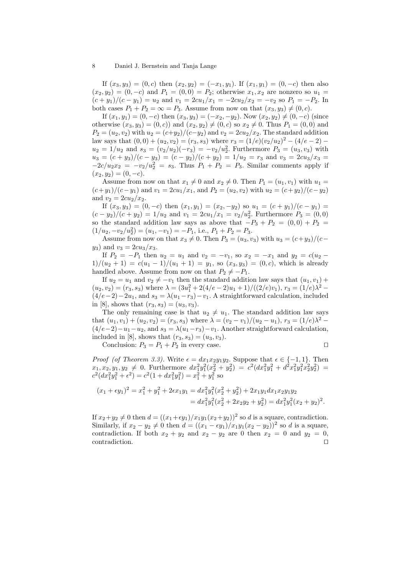If  $(x_3, y_3) = (0, c)$  then  $(x_2, y_2) = (-x_1, y_1)$ . If  $(x_1, y_1) = (0, -c)$  then also  $(x_2, y_2) = (0, -c)$  and  $P_1 = (0, 0) = P_2$ ; otherwise  $x_1, x_2$  are nonzero so  $u_1 =$  $(c + y_1)/(c - y_1) = u_2$  and  $v_1 = 2cu_1/x_1 = -2cu_2/x_2 = -v_2$  so  $P_1 = -P_2$ . In both cases  $P_1 + P_2 = \infty = P_3$ . Assume from now on that  $(x_3, y_3) \neq (0, c)$ .

If  $(x_1, y_1) = (0, -c)$  then  $(x_3, y_3) = (-x_2, -y_2)$ . Now  $(x_2, y_2) \neq (0, -c)$  (since otherwise  $(x_3, y_3) = (0, c)$  and  $(x_2, y_2) \neq (0, c)$  so  $x_2 \neq 0$ . Thus  $P_1 = (0, 0)$  and  $P_2 = (u_2, v_2)$  with  $u_2 = (c+y_2)/(c-y_2)$  and  $v_2 = 2cu_2/x_2$ . The standard addition law says that  $(0,0) + (u_2, v_2) = (r_3, s_3)$  where  $r_3 = (1/e)(v_2/u_2)^2 - (4/e - 2)$  $u_2 = 1/u_2$  and  $s_3 = (v_2/u_2)(-r_3) = -v_2/u_2^2$ . Furthermore  $P_3 = (u_3, v_3)$  with  $u_3 = (c + y_3)/(c - y_3) = (c - y_2)/(c + y_2) = 1/u_2 = r_3$  and  $v_3 = 2cu_3/x_3 =$  $-2c/u_2x_2 = -v_2/u_2^2 = s_3$ . Thus  $P_1 + P_2 = P_3$ . Similar comments apply if  $(x_2, y_2) = (0, -c).$ 

Assume from now on that  $x_1 \neq 0$  and  $x_2 \neq 0$ . Then  $P_1 = (u_1, v_1)$  with  $u_1 =$  $(c+y_1)/(c-y_1)$  and  $v_1 = 2cu_1/x_1$ , and  $P_2 = (u_2, v_2)$  with  $u_2 = (c+y_2)/(c-y_2)$ and  $v_2 = 2cu_2/x_2$ .

If  $(x_3, y_3) = (0, -c)$  then  $(x_1, y_1) = (x_2, -y_2)$  so  $u_1 = (c + y_1)/(c - y_1)$  $(c - y_2)/(c + y_2) = 1/u_2$  and  $v_1 = 2cu_1/x_1 = v_2/u_2^2$ . Furthermore  $P_3 = (0, 0)$ so the standard addition law says as above that  $-P_3 + P_2 = (0,0) + P_2 =$  $(1/u_2, -v_2/u_2^2) = (u_1, -v_1) = -P_1$ , i.e.,  $P_1 + P_2 = P_3$ .

Assume from now on that  $x_3 \neq 0$ . Then  $P_3 = (u_3, v_3)$  with  $u_3 = (c+y_3)/(c (y_3)$  and  $v_3 = 2cu_3/x_3$ .

If  $P_2 = -P_1$  then  $u_2 = u_1$  and  $v_2 = -v_1$ , so  $x_2 = -x_1$  and  $y_2 = c(u_2 1)/(u_2 + 1) = c(u_1 - 1)/(u_1 + 1) = y_1$ , so  $(x_3, y_3) = (0, c)$ , which is already handled above. Assume from now on that  $P_2 \neq -P_1$ .

If  $u_2 = u_1$  and  $v_2 \neq -v_1$  then the standard addition law says that  $(u_1, v_1)$  +  $(u_2, v_2) = (r_3, s_3)$  where  $\lambda = (3u_1^2 + 2(4/e - 2)u_1 + 1)/((2/e)v_1), r_3 = (1/e)\lambda^2 (4/e-2)-2u_1$ , and  $s_3 = \lambda(u_1-r_3)-v_1$ . A straightforward calculation, included in [8], shows that  $(r_3, s_3) = (u_3, v_3)$ .

The only remaining case is that  $u_2 \neq u_1$ . The standard addition law says that  $(u_1, v_1) + (u_2, v_2) = (r_3, s_3)$  where  $\lambda = (v_2 - v_1)/(u_2 - u_1)$ ,  $r_3 = (1/e)\lambda^2$  $(4/e-2)-u_1-u_2$ , and  $s_3 = \lambda(u_1-r_3)-v_1$ . Another straightforward calculation, included in [8], shows that  $(r_3, s_3) = (u_3, v_3)$ .

Conclusion:  $P_3 = P_1 + P_2$  in every case.

$$
\qquad \qquad \Box
$$

*Proof (of Theorem 3.3).* Write  $\epsilon = dx_1x_2y_1y_2$ . Suppose that  $\epsilon \in \{-1, 1\}$ . Then  $x_1, x_2, y_1, y_2 \neq 0$ . Furthermore  $dx_1^2y_1^2(x_2^2 + y_2^2) = c^2(dx_1^2y_1^2 + d^2x_1^2y_1^2x_2^2y_2^2)$  $c^2(dx_1^2y_1^2 + \epsilon^2) = c^2(1 + dx_1^2y_1^2) = x_1^2 + y_1^2$  so

$$
(x_1 + \epsilon y_1)^2 = x_1^2 + y_1^2 + 2\epsilon x_1 y_1 = dx_1^2 y_1^2 (x_2^2 + y_2^2) + 2x_1 y_1 dx_1 x_2 y_1 y_2
$$
  
= 
$$
dx_1^2 y_1^2 (x_2^2 + 2x_2 y_2 + y_2^2) = dx_1^2 y_1^2 (x_2 + y_2)^2.
$$

If  $x_2+y_2\neq 0$  then  $d=((x_1+\epsilon y_1)/x_1y_1(x_2+y_2))^2$  so d is a square, contradiction. Similarly, if  $x_2 - y_2 \neq 0$  then  $d = ((x_1 - \epsilon y_1)/x_1y_1(x_2 - y_2))^2$  so d is a square, contradiction. If both  $x_2 + y_2$  and  $x_2 - y_2$  are 0 then  $x_2 = 0$  and  $y_2 = 0$ , contradiction.  $\Box$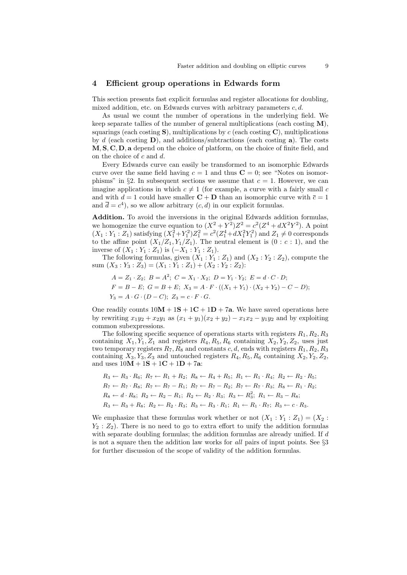#### 4 Efficient group operations in Edwards form

This section presents fast explicit formulas and register allocations for doubling, mixed addition, etc. on Edwards curves with arbitrary parameters  $c, d$ .

As usual we count the number of operations in the underlying field. We keep separate tallies of the number of general multiplications (each costing  $M$ ), squarings (each costing  $S$ ), multiplications by c (each costing  $C$ ), multiplications by d (each costing  $\bf{D}$ ), and additions/subtractions (each costing  $\bf{a}$ ). The costs M, S, C, D, a depend on the choice of platform, on the choice of finite field, and on the choice of c and d.

Every Edwards curve can easily be transformed to an isomorphic Edwards curve over the same field having  $c = 1$  and thus  $C = 0$ ; see "Notes on isomorphisms" in §2. In subsequent sections we assume that  $c = 1$ . However, we can imagine applications in which  $c \neq 1$  (for example, a curve with a fairly small c and with  $d = 1$  could have smaller  $C + D$  than an isomorphic curve with  $\bar{c} = 1$ and  $\overline{d} = c^4$ , so we allow arbitrary  $(c, d)$  in our explicit formulas.

Addition. To avoid the inversions in the original Edwards addition formulas, we homogenize the curve equation to  $(X^2 + Y^2)Z^2 = c^2(Z^4 + dX^2Y^2)$ . A point  $(X_1: Y_1: Z_1)$  satisfying  $(X_1^2+Y_1^2)Z_1^2 = c^2(Z_1^4+dX_1^2Y_1^2)$  and  $Z_1 \neq 0$  corresponds to the affine point  $(X_1/Z_1, Y_1/Z_1)$ . The neutral element is  $(0 : c : 1)$ , and the inverse of  $(X_1 : Y_1 : Z_1)$  is  $(-X_1 : Y_1 : Z_1)$ .

The following formulas, given  $(X_1 : Y_1 : Z_1)$  and  $(X_2 : Y_2 : Z_2)$ , compute the sum  $(X_3: Y_3: Z_3) = (X_1: Y_1: Z_1) + (X_2: Y_2: Z_2)$ :

- $A = Z_1 \cdot Z_2$ ;  $B = A^2$ ;  $C = X_1 \cdot X_2$ ;  $D = Y_1 \cdot Y_2$ ;  $E = d \cdot C \cdot D$ ;
- $F = B E$ ;  $G = B + E$ ;  $X_3 = A \cdot F \cdot ((X_1 + Y_1) \cdot (X_2 + Y_2) C D)$ ;  $Y_3 = A \cdot G \cdot (D - C); Z_3 = c \cdot F \cdot G.$

One readily counts  $10M + 1S + 1C + 1D + 7a$ . We have saved operations here by rewriting  $x_1y_2 + x_2y_1$  as  $(x_1 + y_1)(x_2 + y_2) - x_1x_2 - y_1y_2$  and by exploiting common subexpressions.

The following specific sequence of operations starts with registers  $R_1, R_2, R_3$ containing  $X_1, Y_1, Z_1$  and registers  $R_4, R_5, R_6$  containing  $X_2, Y_2, Z_2$ , uses just two temporary registers  $R_7, R_8$  and constants c, d, ends with registers  $R_1, R_2, R_3$ containing  $X_3, Y_3, Z_3$  and untouched registers  $R_4, R_5, R_6$  containing  $X_2, Y_2, Z_2$ , and uses  $10M + 1S + 1C + 1D + 7a$ :

$$
R_3 \leftarrow R_3 \cdot R_6; \ R_7 \leftarrow R_1 + R_2; \ R_8 \leftarrow R_4 + R_5; \ R_1 \leftarrow R_1 \cdot R_4; \ R_2 \leftarrow R_2 \cdot R_5; R_7 \leftarrow R_7 \cdot R_8; \ R_7 \leftarrow R_7 - R_1; \ R_7 \leftarrow R_7 - R_2; \ R_7 \leftarrow R_7 \cdot R_3; \ R_8 \leftarrow R_1 \cdot R_2; R_8 \leftarrow d \cdot R_8; \ R_2 \leftarrow R_2 - R_1; \ R_2 \leftarrow R_2 \cdot R_3; \ R_3 \leftarrow R_3^2; \ R_1 \leftarrow R_3 - R_8; R_3 \leftarrow R_3 + R_8; \ R_2 \leftarrow R_2 \cdot R_3; \ R_3 \leftarrow R_3 \cdot R_1; \ R_1 \leftarrow R_1 \cdot R_7; \ R_3 \leftarrow c \cdot R_3.
$$

We emphasize that these formulas work whether or not  $(X_1 : Y_1 : Z_1) = (X_2 : Y_1 \cdot Z_1)$  $Y_2 : Z_2$ ). There is no need to go to extra effort to unify the addition formulas with separate doubling formulas; the addition formulas are already unified. If d is not a square then the addition law works for all pairs of input points. See §3 for further discussion of the scope of validity of the addition formulas.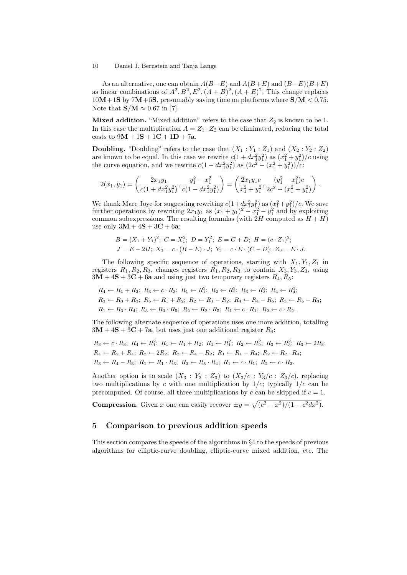As an alternative, one can obtain  $A(B-E)$  and  $A(B+E)$  and  $(B-E)(B+E)$ as linear combinations of  $A^2, B^2, E^2, (A + B)^2, (A + E)^2$ . This change replaces  $10M+1S$  by  $7M+5S$ , presumably saving time on platforms where  $S/M < 0.75$ . Note that  $S/M \approx 0.67$  in [7].

**Mixed addition.** "Mixed addition" refers to the case that  $Z_2$  is known to be 1. In this case the multiplication  $A = Z_1 \cdot Z_2$  can be eliminated, reducing the total costs to  $9M + 1S + 1C + 1D + 7a$ .

**Doubling.** "Doubling" refers to the case that  $(X_1 : Y_1 : Z_1)$  and  $(X_2 : Y_2 : Z_2)$ are known to be equal. In this case we rewrite  $c(1+dx_1^2y_1^2)$  as  $(x_1^2+y_1^2)/c$  using the curve equation, and we rewrite  $c(1 - dx_1^2 y_1^2)$  as  $(2c^2 - (x_1^2 + y_1^2))/c$ :

$$
2(x_1, y_1) = \left(\frac{2x_1y_1}{c(1+dx_1^2y_1^2)}, \frac{y_1^2-x_1^2}{c(1-dx_1^2y_1^2)}\right) = \left(\frac{2x_1y_1c}{x_1^2+y_1^2}, \frac{(y_1^2-x_1^2)c}{2c^2-(x_1^2+y_1^2)}\right).
$$

We thank Marc Joye for suggesting rewriting  $c(1+dx_1^2y_1^2)$  as  $(x_1^2+y_1^2)/c$ . We save further operations by rewriting  $2x_1y_1$  as  $(x_1 + y_1)^2 - x_1^2 - y_1^2$  and by exploiting common subexpressions. The resulting formulas (with  $2H$  computed as  $H + H$ ) use only  $3M + 4S + 3C + 6a$ :

$$
B = (X_1 + Y_1)^2; \ C = X_1^2; \ D = Y_1^2; \ E = C + D; \ H = (c \cdot Z_1)^2; J = E - 2H; \ X_3 = c \cdot (B - E) \cdot J; \ Y_3 = c \cdot E \cdot (C - D); \ Z_3 = E \cdot J.
$$

The following specific sequence of operations, starting with  $X_1, Y_1, Z_1$  in registers  $R_1, R_2, R_3$ , changes registers  $R_1, R_2, R_3$  to contain  $X_3, Y_3, Z_3$ , using  $3\overline{M} + 4\overline{S} + 3\overline{C} + 6\overline{a}$  and using just two temporary registers  $R_4, R_5$ :

$$
R_4 \leftarrow R_1 + R_2; R_3 \leftarrow c \cdot R_3; R_1 \leftarrow R_1^2; R_2 \leftarrow R_2^2; R_3 \leftarrow R_3^2; R_4 \leftarrow R_4^2; R_3 \leftarrow R_3 + R_3; R_5 \leftarrow R_1 + R_2; R_2 \leftarrow R_1 - R_2; R_4 \leftarrow R_4 - R_5; R_3 \leftarrow R_5 - R_3; R_1 \leftarrow R_3 \cdot R_4; R_3 \leftarrow R_3 \cdot R_5; R_2 \leftarrow R_2 \cdot R_5; R_1 \leftarrow c \cdot R_1; R_2 \leftarrow c \cdot R_2.
$$

The following alternate sequence of operations uses one more addition, totalling  $3M + 4S + 3C + 7a$ , but uses just one additional register  $R_4$ :

$$
R_3 \leftarrow c \cdot R_3; R_4 \leftarrow R_1^2; R_1 \leftarrow R_1 + R_2; R_1 \leftarrow R_1^2; R_2 \leftarrow R_2^2; R_3 \leftarrow R_3^2; R_3 \leftarrow 2R_3; R_4 \leftarrow R_2 + R_4; R_2 \leftarrow 2R_2; R_2 \leftarrow R_4 - R_2; R_1 \leftarrow R_1 - R_4; R_2 \leftarrow R_2 \cdot R_4; R_3 \leftarrow R_4 - R_3; R_1 \leftarrow R_1 \cdot R_3; R_3 \leftarrow R_3 \cdot R_4; R_1 \leftarrow c \cdot R_1; R_2 \leftarrow c \cdot R_2.
$$

Another option is to scale  $(X_3: Y_3: Z_3)$  to  $(X_3/c: Y_3/c: Z_3/c)$ , replacing two multiplications by c with one multiplication by  $1/c$ ; typically  $1/c$  can be precomputed. Of course, all three multiplications by c can be skipped if  $c = 1$ .

**Compression.** Given x one can easily recover  $\pm y = \sqrt{(c^2 - x^2)/(1 - c^2 dx^2)}$ .

## 5 Comparison to previous addition speeds

This section compares the speeds of the algorithms in §4 to the speeds of previous algorithms for elliptic-curve doubling, elliptic-curve mixed addition, etc. The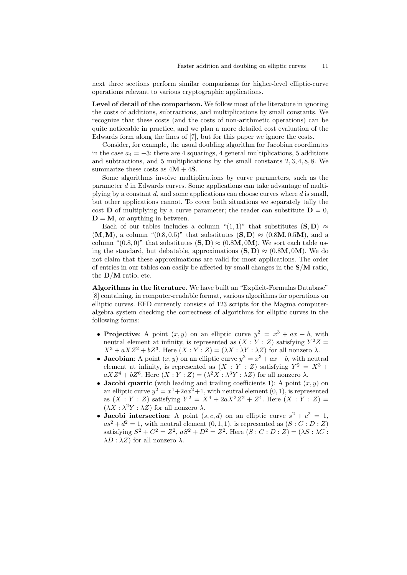next three sections perform similar comparisons for higher-level elliptic-curve operations relevant to various cryptographic applications.

Level of detail of the comparison. We follow most of the literature in ignoring the costs of additions, subtractions, and multiplications by small constants. We recognize that these costs (and the costs of non-arithmetic operations) can be quite noticeable in practice, and we plan a more detailed cost evaluation of the Edwards form along the lines of [7], but for this paper we ignore the costs.

Consider, for example, the usual doubling algorithm for Jacobian coordinates in the case  $a_4 = -3$ : there are 4 squarings, 4 general multiplications, 5 additions and subtractions, and 5 multiplications by the small constants 2, 3, 4, 8, 8. We summarize these costs as  $4M + 4S$ .

Some algorithms involve multiplications by curve parameters, such as the parameter d in Edwards curves. Some applications can take advantage of multiplying by a constant  $d$ , and some applications can choose curves where  $d$  is small, but other applications cannot. To cover both situations we separately tally the cost **D** of multiplying by a curve parameter; the reader can substitute  $D = 0$ ,  $D = M$ , or anything in between.

Each of our tables includes a column " $(1,1)$ " that substitutes  $(S, D) \approx$  $(M, M)$ , a column " $(0.8, 0.5)$ " that substitutes  $(S, D) \approx (0.8M, 0.5M)$ , and a column " $(0.8, 0)$ " that substitutes  $(S, D) \approx (0.8M, 0M)$ . We sort each table using the standard, but debatable, approximations  $(S, D) \approx (0.8M, 0M)$ . We do not claim that these approximations are valid for most applications. The order of entries in our tables can easily be affected by small changes in the  $S/M$  ratio, the  $\mathbf{D}/\mathbf{M}$  ratio, etc.

Algorithms in the literature. We have built an "Explicit-Formulas Database" [8] containing, in computer-readable format, various algorithms for operations on elliptic curves. EFD currently consists of 123 scripts for the Magma computeralgebra system checking the correctness of algorithms for elliptic curves in the following forms:

- Projective: A point  $(x, y)$  on an elliptic curve  $y^2 = x^3 + ax + b$ , with neutral element at infinity, is represented as  $(X:Y:Z)$  satisfying  $Y^2Z =$  $X^3 + aXZ^2 + bZ^3$ . Here  $(X:Y:Z) = (\lambda X: \lambda Y: \lambda Z)$  for all nonzero  $\lambda$ .
- Jacobian: A point  $(x, y)$  on an elliptic curve  $y^2 = x^3 + ax + b$ , with neutral element at infinity, is represented as  $(X : Y : Z)$  satisfying  $Y^2 = X^3 +$  $aXZ^4 + bZ^6$ . Here  $(X:Y:Z) = (\lambda^2 X: \lambda^3 Y: \lambda Z)$  for all nonzero  $\lambda$ .
- Jacobi quartic (with leading and trailing coefficients 1): A point  $(x, y)$  on an elliptic curve  $y^2 = x^4 + 2ax^2 + 1$ , with neutral element  $(0, 1)$ , is represented as  $(X:Y:Z)$  satisfying  $Y^2 = X^4 + 2aX^2Z^2 + Z^4$ . Here  $(X:Y:Z) =$  $(\lambda X : \lambda^2 Y : \lambda Z)$  for all nonzero  $\lambda$ .
- Jacobi intersection: A point  $(s, c, d)$  on an elliptic curve  $s^2 + c^2 = 1$ ,  $as^2 + d^2 = 1$ , with neutral element  $(0, 1, 1)$ , is represented as  $(S : C : D : Z)$ satisfying  $S^2 + C^2 = Z^2$ ,  $aS^2 + D^2 = Z^2$ . Here  $(S : C : D : Z) = (\lambda S : \lambda C : Z)$  $\lambda D : \lambda Z$ ) for all nonzero  $\lambda$ .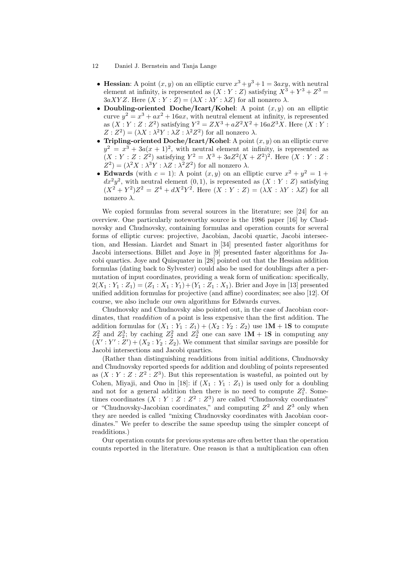- Hessian: A point  $(x, y)$  on an elliptic curve  $x^3 + y^3 + 1 = 3axy$ , with neutral element at infinity, is represented as  $(X:Y:Z)$  satisfying  $X^3 + Y^3 + Z^3 =$  $3aXYZ$ . Here  $(X:Y:Z) = (\lambda X: \lambda Y: \lambda Z)$  for all nonzero  $\lambda$ .
- Doubling-oriented Doche/Icart/Kohel: A point  $(x, y)$  on an elliptic curve  $y^2 = x^3 + ax^2 + 16ax$ , with neutral element at infinity, is represented as  $(X:Y:Z:Z^2)$  satisfying  $Y^2 = ZX^3 + aZ^2X^2 + 16aZ^3X$ . Here  $(X:Y:Z:Z^2)$  $Z: Z^2 = (\lambda X: \lambda^2 Y: \lambda Z: \lambda^2 Z^2)$  for all nonzero  $\lambda$ .
- Tripling-oriented Doche/Icart/Kohel: A point  $(x, y)$  on an elliptic curve  $y^2 = x^3 + 3a(x+1)^2$ , with neutral element at infinity, is represented as  $(X:Y:Z:Z^2)$  satisfying  $Y^2 = X^3 + 3aZ^2(X+Z^2)^2$ . Here  $(X:Y:Z:Z^2)$  $Z^2$ ) =  $(\lambda^2 X : \lambda^3 Y : \lambda Z : \lambda^2 Z^2)$  for all nonzero  $\lambda$ .
- Edwards (with  $c = 1$ ): A point  $(x, y)$  on an elliptic curve  $x^2 + y^2 = 1 +$  $dx^2y^2$ , with neutral element  $(0,1)$ , is represented as  $(X:Y:Z)$  satisfying  $(X^2+Y^2)Z^2=Z^4+dX^2Y^2$ . Here  $(X:Y:Z)=(\lambda X:\lambda Y:\lambda Z)$  for all nonzero λ.

We copied formulas from several sources in the literature; see [24] for an overview. One particularly noteworthy source is the 1986 paper [16] by Chudnovsky and Chudnovsky, containing formulas and operation counts for several forms of elliptic curves: projective, Jacobian, Jacobi quartic, Jacobi intersection, and Hessian. Liardet and Smart in [34] presented faster algorithms for Jacobi intersections. Billet and Joye in [9] presented faster algorithms for Jacobi quartics. Joye and Quisquater in [28] pointed out that the Hessian addition formulas (dating back to Sylvester) could also be used for doublings after a permutation of input coordinates, providing a weak form of unification: specifically,  $2(X_1 : Y_1 : Z_1) = (Z_1 : X_1 : Y_1) + (Y_1 : Z_1 : X_1)$ . Brier and Joye in [13] presented unified addition formulas for projective (and affine) coordinates; see also [12]. Of course, we also include our own algorithms for Edwards curves.

Chudnovsky and Chudnovsky also pointed out, in the case of Jacobian coordinates, that *readdition* of a point is less expensive than the first addition. The addition formulas for  $(X_1 : Y_1 : Z_1) + (X_2 : Y_2 : Z_2)$  use  $1M + 1S$  to compute  $Z_2^2$  and  $Z_2^3$ ; by caching  $Z_2^2$  and  $Z_2^3$  one can save  $1M + 1S$  in computing any  $(X': Y': Z') + (X_2: Y_2: Z_2)$ . We comment that similar savings are possible for Jacobi intersections and Jacobi quartics.

(Rather than distinguishing readditions from initial additions, Chudnovsky and Chudnovsky reported speeds for addition and doubling of points represented as  $(X:Y:Z:Z^2:Z^3)$ . But this representation is wasteful, as pointed out by Cohen, Miyaji, and Ono in [18]: if  $(X_1 : Y_1 : Z_1)$  is used only for a doubling and not for a general addition then there is no need to compute  $Z_1^3$ . Sometimes coordinates  $(X:Y:Z:Z^2:Z^3)$  are called "Chudnovsky coordinates" or "Chudnovsky-Jacobian coordinates," and computing  $Z^2$  and  $Z^3$  only when they are needed is called "mixing Chudnovsky coordinates with Jacobian coordinates." We prefer to describe the same speedup using the simpler concept of readditions.)

Our operation counts for previous systems are often better than the operation counts reported in the literature. One reason is that a multiplication can often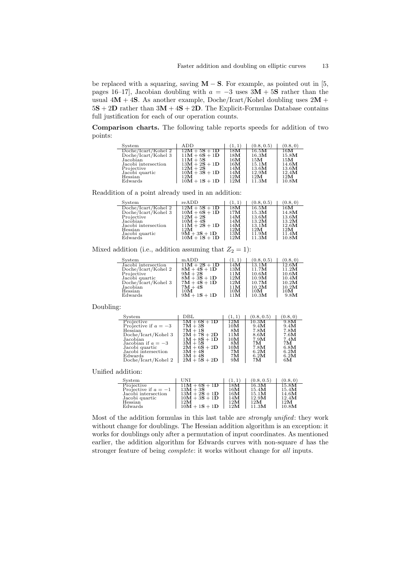be replaced with a squaring, saving  $M - S$ . For example, as pointed out in [5, pages 16–17], Jacobian doubling with  $a = -3$  uses 3M + 5S rather than the usual  $4M + 4S$ . As another example, Doche/Icart/Kohel doubling uses  $2M +$  $5S + 2D$  rather than  $3M + 4S + 2D$ . The Explicit-Formulas Database contains full justification for each of our operation counts.

Comparison charts. The following table reports speeds for addition of two points:

| System              | ADD             | (1, 1) | (0.8, 0.5)       | (0.8, 0) |
|---------------------|-----------------|--------|------------------|----------|
| Doche/Icart/Kohel 2 | $12M + 5S + 1D$ | 18M    | $16.5\mathbf{M}$ | 16M      |
| Doche/Icart/Kohel 3 | $11M + 6S + 1D$ | 18M    | 16.3M            | 15.8M    |
| Jacobian            | $11M + 5S$      | 16M    | 15M              | 15M      |
| Jacobi intersection | $13M + 2S + 1D$ | 16M    | 15.1M            | 14.6M    |
| Projective          | $12M + 2S$      | 14M    | 13.6M            | 13.6M    |
| Jacobi quartic      | $10M + 3S + 1D$ | 14M    | 12.9M            | 12.4M    |
| Hessian             | 12M             | 12M    | 12M              | 12M      |
| Edwards             | $10M + 1S + 1D$ | 12M    | 11.3M            | 10.8M    |

Readdition of a point already used in an addition:

| System              | $_{\rm reADD}$  | (1, 1) | (0.8, 0.5) | (0.8, 0) |
|---------------------|-----------------|--------|------------|----------|
| Doche/Icart/Kohel 2 | $12M + 5S + 1D$ | 18M    | 16.5M      | 16M      |
| Doche/Icart/Kohel 3 | $10M + 6S + 1D$ | 17M    | 15.3M      | 14.8M    |
| Projective          | $12M + 2S$      | 14M    | 13.6M      | 13.6M    |
| Jacobian            | $10M + 4S$      | 14M    | 13.2M      | 13.2M    |
| Jacobi intersection | $11M + 2S + 1D$ | 14M    | 13.1M      | 12.6M    |
| Hessian             | 12M             | 12M    | 12M        | 12M      |
| Jacobi quartic      | $9M + 3S + 1D$  | 13M    | 11.9M      | 11.4M    |
| Edwards             | $10M + 1S + 1D$ | 12M    | 11.3M      | 10.8M    |

Mixed addition (i.e., addition assuming that  $Z_2 = 1$ ):

| System                       | mADD                        | (1, 1)     | (0.8, 0.5)     | (0.8, 0)       |
|------------------------------|-----------------------------|------------|----------------|----------------|
| Jacobi intersection          | $11M + 2S + 1D$             | 14M        | 13.1M          | 12.6M          |
| Doche/Icart/Kohel 2          | $8M + 4S + 1D$              | 13M        | 11.7M          | 11.2M          |
| Projective<br>Jacobi quartic | $9M + 2S$<br>$8M + 3S + 1D$ | 11M<br>12M | 10.6M<br>10.9M | 10.6M<br>10.4M |
| Doche/Icart/Kohel 3          | $7M + 4S + 1D$              | 12M        | 10.7M          | 10.2M          |
| Jacobian                     | $7M + 4S$                   | 11M        | 10.2M          | 10.2M          |
| Hessian                      | 10M                         | 10M        | 10M            | 10M            |
| Edwards                      | $9M + 1S + 1D$              | 11M        | 10.3M          | 9.8M           |
|                              |                             |            |                |                |

Doubling:

 $\overline{a}$ 

 $\overline{a}$ 

| System                 | DBL                         | (1,1) | (0.8, 0.5) | (0.8, 0) |
|------------------------|-----------------------------|-------|------------|----------|
| Projective             | $5M + 6S + 1D$              | 12M   | 10.3M      | 9.8M     |
| Projective if $a = -3$ | $7\mathbf{M} + 3\mathbf{S}$ | 10M   | 9.4M       | 9.4M     |
| Hessian                | $7M + 1S$                   | 8M    | 7.8M       | 7.8M     |
| Doche/Icart/Kohel 3    | $2M + 7S + 2D$              | 11M   | 8.6M       | 7.6M     |
| Jacobian               | $1M + 8S + 1D$              | 10M   | 7.9M       | 7.4M     |
| Jacobian if $a = -3$   | $3M + 5S$                   | 8M    | 7M.        | 7M.      |
| Jacobi quartic         | $2M + 6S + 2D$              | 10M   | 7.8M       | 6.8M     |
| Jacobi intersection    | $3M + 4S$                   | 7M    | 6.2M       | 6.2M     |
| Edwards                | $3M + 4S$                   | 7M    | 6.2M       | 6.2M     |
| Doche/Icart/Kohel 2    | $2M + 5S + 2D$              | 9M    | 7M         | 6M       |

Unified addition:

| System                 | UNI             |     | (0.8, 0.5) | (0.8, 0) |
|------------------------|-----------------|-----|------------|----------|
| Projective             | $11M + 6S + 1D$ | 18M | 16.3M      | 15.8M    |
| Projective if $a = -1$ | $13M + 3S$      | 16M | 15.4M      | 15.4M    |
| Jacobi intersection    | $13M + 2S + 1D$ | 16M | 15.1M      | 14.6M    |
| Jacobi quartic         | $10M + 3S + 1D$ | 14M | 12.9M      | 12.4M    |
| Hessian                | 12M             | 12M | 12M        | 12M      |
| Edwards                | $10M + 1S + 1D$ | 12M | 11.3M      | 10.8M    |

Most of the addition formulas in this last table are strongly unified: they work without change for doublings. The Hessian addition algorithm is an exception: it works for doublings only after a permutation of input coordinates. As mentioned earlier, the addition algorithm for Edwards curves with non-square d has the stronger feature of being complete: it works without change for all inputs.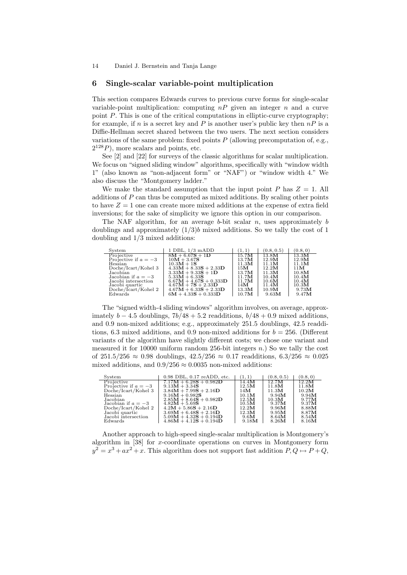#### 6 Single-scalar variable-point multiplication

This section compares Edwards curves to previous curve forms for single-scalar variable-point multiplication: computing  $nP$  given an integer  $n$  and a curve point P. This is one of the critical computations in elliptic-curve cryptography; for example, if n is a secret key and P is another user's public key then  $nP$  is a Diffie-Hellman secret shared between the two users. The next section considers variations of the same problem: fixed points  $P$  (allowing precomputation of, e.g.,  $2^{128}P$ ), more scalars and points, etc.

See [2] and [22] for surveys of the classic algorithms for scalar multiplication. We focus on "signed sliding window" algorithms, specifically with "window width 1" (also known as "non-adjacent form" or "NAF") or "window width 4." We also discuss the "Montgomery ladder."

We make the standard assumption that the input point  $P$  has  $Z = 1$ . All additions of  $P$  can thus be computed as mixed additions. By scaling other points to have  $Z = 1$  one can create more mixed additions at the expense of extra field inversions; for the sake of simplicity we ignore this option in our comparison.

The NAF algorithm, for an average b-bit scalar n, uses approximately b doublings and approximately  $(1/3)b$  mixed additions. So we tally the cost of 1 doubling and 1/3 mixed additions:

| System                 | $1$ DBL, $1/3$ mADD      | (1, 1) | (0.8, 0.5)       | (0.8, 0) |
|------------------------|--------------------------|--------|------------------|----------|
| Projective             | $8M + 6.67S + 1D$        | 15.7M  | $13.8\mathrm{M}$ | 13.3M    |
| Projective if $a = -3$ | $10M + 3.67S$            | 13.7M  | 12.9M            | 12.9M    |
| Hessian                | $10.3M + 1S$             | 11.3M  | 11.1M            | 11.1M    |
| Doche/Icart/Kohel 3    | $4.33M + 8.33S + 2.33D$  | 15M    | 12.2M            | 11M      |
| Jacobian               | $3.33M + 9.33S + 1D$     | 13.7M  | 11.3M            | 10.8M    |
| Jacobian if $a = -3$   | $5.33M + 6.33S$          | 11.7M  | 10.4M            | 10.4M    |
| Jacobi intersection    | $6.67M + 4.67S + 0.333D$ | 11.7M  | 10.6M            | 10.4M    |
| Jacobi quartic         | $4.67M + 7S + 2.33D$     | 14M    | 11.4M            | 10.3M    |
| Doche/Icart/Kohel 2    | $4.67M + 6.33S + 2.33D$  | 13.3M  | 10.9M            | 9.73M    |
| Edwards                | $6M + 4.33S + 0.333D$    | 10.7M  | 9.63M            | 9.47M    |

The "signed width-4 sliding windows" algorithm involves, on average, approximately  $b - 4.5$  doublings,  $7b/48 + 5.2$  readditions,  $b/48 + 0.9$  mixed additions, and 0.9 non-mixed additions; e.g., approximately 251.5 doublings, 42.5 readditions, 6.3 mixed additions, and 0.9 non-mixed additions for  $b = 256$ . (Different variants of the algorithm have slightly different costs; we chose one variant and measured it for 10000 uniform random 256-bit integers  $n$ .) So we tally the cost of 251.5/256 ≈ 0.98 doublings,  $42.5/256 \approx 0.17$  readditions,  $6.3/256 \approx 0.025$ mixed additions, and  $0.9/256 \approx 0.0035$  non-mixed additions:

| System                 | $0.98$ DBL, $0.17$ reADD, etc. | (1,1) | (0.8, 0.5) | (0.8, 0) |
|------------------------|--------------------------------|-------|------------|----------|
| Projective             | $7.17M + 6.28S + 0.982D$       | 14.4M | 12.7M      | 12.2M    |
| Projective if $a = -3$ | $9.13M + 3.34S$                | 12.5M | 11.8M      | 11.8M    |
| Doche/Icart/Kohel 3    | $3.84M + 7.99S + 2.16D$        | 14M   | 11.3M      | 10.2M    |
| Hessian                | $9.16M + 0.982S$               | 10.1M | 9.94M      | 9.94M    |
| Jacobian               | $2.85M + 8.64S + 0.982D$       | 12.5M | 10.3M      | 9.77M    |
| Jacobian if $a = -3$   | $4.82M + 5.69S$                | 10.5M | 9.37M      | 9.37M    |
| Doche/Icart/Kohel 2    | $4.2M + 5.86S + 2.16D$         | 12.2M | 9.96M      | 8.88M    |
| Jacobi quartic         | $3.69M + 6.48S + 2.16D$        | 12.3M | 9.95M      | 8.87M    |
| Jacobi intersection    | $5.09M + 4.32S + 0.194D$       | 9.6M  | 8.64M      | 8.54M    |
| Edwards                | $4.86M + 4.12S + 0.194D$       | 9.18M | 8.26M      | 8.16M    |

Another approach to high-speed single-scalar multiplication is Montgomery's algorithm in [38] for x-coordinate operations on curves in Montgomery form  $y^2 = x^3 + ax^2 + x$ . This algorithm does not support fast addition  $P, Q \mapsto P + Q$ ,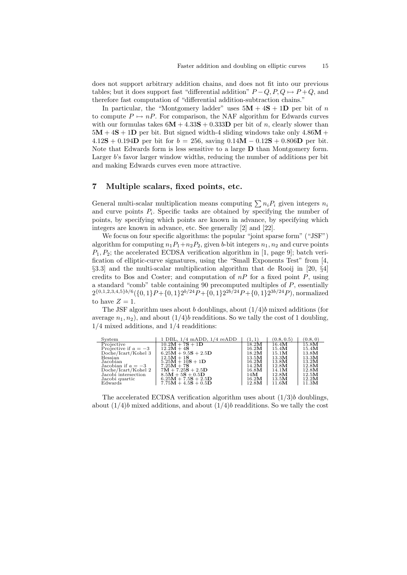does not support arbitrary addition chains, and does not fit into our previous tables; but it does support fast "differential addition"  $P-Q, P, Q \mapsto P+Q$ , and therefore fast computation of "differential addition-subtraction chains."

In particular, the "Montgomery ladder" uses  $5M + 4S + 1D$  per bit of n to compute  $P \mapsto nP$ . For comparison, the NAF algorithm for Edwards curves with our formulas takes  $6M + 4.33S + 0.333D$  per bit of n, clearly slower than  $5M + 4S + 1D$  per bit. But signed width-4 sliding windows take only  $4.86M +$  $4.12S + 0.194D$  per bit for  $b = 256$ , saving  $0.14M - 0.12S + 0.806D$  per bit. Note that Edwards form is less sensitive to a large  $D$  than Montgomery form. Larger b's favor larger window widths, reducing the number of additions per bit and making Edwards curves even more attractive.

## 7 Multiple scalars, fixed points, etc.

General multi-scalar multiplication means computing  $\sum n_i P_i$  given integers  $n_i$ and curve points  $P_i$ . Specific tasks are obtained by specifying the number of points, by specifying which points are known in advance, by specifying which integers are known in advance, etc. See generally [2] and [22].

We focus on four specific algorithms: the popular "joint sparse form" ("JSF") algorithm for computing  $n_1P_1+n_2P_2$ , given b-bit integers  $n_1, n_2$  and curve points  $P_1, P_2$ ; the accelerated ECDSA verification algorithm in [1, page 9]; batch verification of elliptic-curve signatures, using the "Small Exponents Test" from [4, §3.3] and the multi-scalar multiplication algorithm that de Rooij in [20, §4] credits to Bos and Coster; and computation of  $nP$  for a fixed point  $P$ , using a standard "comb" table containing 90 precomputed multiples of P, essentially  $2^{\{0,1,2,3,4,5\}b/6}(\{0,1\}P + \{0,1\}2^{b/24}P + \{0,1\}2^{2b/24}P + \{0,1\}2^{3b/24}P)$ , normalized to have  $Z = 1$ .

The JSF algorithm uses about b doublings, about  $(1/4)b$  mixed additions (for average  $n_1, n_2$ , and about  $(1/4)b$  readditions. So we tally the cost of 1 doubling, 1/4 mixed additions, and 1/4 readditions:

| System                 | $1$ DBL, $1/4$ mADD, $1/4$ reADD | (1, 1) | (0.8, 0.5) | (0.8, 0)         |
|------------------------|----------------------------------|--------|------------|------------------|
| Projective             | $10.2M + 7S + 1D$                | 18.2M  | 16.4M      | $15.8\mathrm{M}$ |
| Projective if $a = -3$ | $12.2M + 4S$                     | 16.2M  | 15.4M      | 15.4M            |
| Doche/Icart/Kohel 3    | $6.25M + 9.5S + 2.5D$            | 18.2M  | 15.1M      | 13.8M            |
| Hessian                | $12.5M + 1S$                     | 13.5M  | 13.3M      | 13.3M            |
| Jacobian               | $5.25M + 10S + 1D$               | 16.2M  | 13.8M      | 13.2M            |
| Jacobian if $a = -3$   | $7.25M + 7S$                     | 14.2M  | 12.8M      | 12.8M            |
| Doche/Icart/Kohel 2    | $7M + 7.25S + 2.5D$              | 16.8M  | 14.1M      | 12.8M            |
| Jacobi intersection    | $8.5M + 5S + 0.5D$               | 14M    | 12.8M      | 12.5M            |
| Jacobi quartic         | $6.25M + 7.5S + 2.5D$            | 16.2M  | 13.5M      | 12.2M            |
| Edwards                | $7.75M + 4.5S + 0.5D$            | 12.8M  | 11.6M      | 11.3M            |

The accelerated ECDSA verification algorithm uses about  $(1/3)b$  doublings, about  $(1/4)b$  mixed additions, and about  $(1/4)b$  readditions. So we tally the cost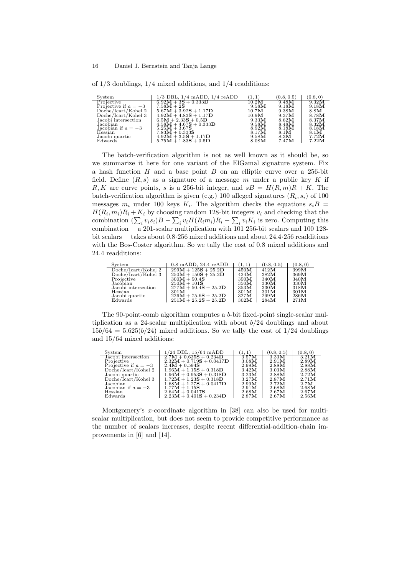of 1/3 doublings, 1/4 mixed additions, and 1/4 readditions:

| System                 | $1/3$ DBL, $1/4$ mADD, $1/4$ reADD | (1, 1) | (0.8, 0.5) | (0.8, 0) |
|------------------------|------------------------------------|--------|------------|----------|
| Projective             | $6.92M + 3S + 0.333D$              | 10.2M  | 9.48M      | 9.32M    |
| Projective if $a = -3$ | $7.58M + 2S$                       | 9.58M  | 9.18M      | 9.18M    |
| Doche/Icart/Kohel 2    | $5.67M + 3.92S + 1.17D$            | 10.7M  | 9.38M      | 8.8M     |
| Doche/Icart/Kohel 3    | $4.92M + 4.83S + 1.17D$            | 10.9M  | 9.37M      | 8.78M    |
| Jacobi intersection    | $6.5M + 2.33S + 0.5D$              | 9.33M  | 8.62M      | 8.37M    |
| Jacobian               | $4.58M + 4.67S + 0.333D$           | 9.58M  | 8.48M      | 8.32M    |
| Jacobian if $a = -3$   | $5.25M + 3.67S$                    | 8.92M  | 8.18M      | 8.18M    |
| Hessian                | $7.83M + 0.333S$                   | 8.17M  | 8.1M       | 8.1M     |
| Jacobi quartic         | $4.92M + 3.5S + 1.17D$             | 9.58M  | 8.3M       | 7.72M    |
| Edwards                | $5.75M + 1.83S + 0.5D$             | 8.08M  | 7.47M      | 7.22M    |

The batch-verification algorithm is not as well known as it should be, so we summarize it here for one variant of the ElGamal signature system. Fix a hash function  $H$  and a base point  $B$  on an elliptic curve over a 256-bit field. Define  $(R, s)$  as a signature of a message m under a public key K if R, K are curve points, s is a 256-bit integer, and  $sB = H(R, m)R + K$ . The batch-verification algorithm is given (e.g.) 100 alleged signatures  $(R_i, s_i)$  of 100 messages  $m_i$  under 100 keys  $K_i$ . The algorithm checks the equations  $s_iB$  $H(R_i, m_i)R_i + K_i$  by choosing random 128-bit integers  $v_i$  and checking that the combination  $(\sum_i v_i s_i)B - \sum_i v_i H(R_i m_i)R_i - \sum_i v_i K_i$  is zero. Computing this combination— a 201-scalar multiplication with 101 256-bit scalars and 100 128 bit scalars — takes about 0.8·256 mixed additions and about 24.4·256 readditions with the Bos-Coster algorithm. So we tally the cost of 0.8 mixed additions and 24.4 readditions:

| System              | $0.8$ mADD, $24.4$ reADD | (1, 1)          | (0.8, 0.5) | (0.8, 0) |
|---------------------|--------------------------|-----------------|------------|----------|
| Doche/Icart/Kohel 2 | $299M + 125S + 25.2D$    | $450\mathbf{M}$ | 412M       | 399M     |
| Doche/Icart/Kohel 3 | $250M + 150S + 25.2D$    | 424M            | 382M       | 369M     |
| Projective          | $300M + 50.4S$           | 350M            | 340M       | 340M     |
| Jacobian            | $250M + 101S$            | 350M            | 330M       | 330M     |
| Jacobi intersection | $277M + 50.4S + 25.2D$   | 353M            | 330M       | 318M     |
| Hessian             | 301M                     | 301M            | 301M       | 301M     |
| Jacobi quartic      | $226M + 75.6S + 25.2D$   | 327M            | 299M       | 286M     |
| Edwards             | $251M + 25.2S + 25.2D$   | 302M            | 284M       | 271M     |

The 90-point-comb algorithm computes a b-bit fixed-point single-scalar multiplication as a 24-scalar multiplication with about  $b/24$  doublings and about  $15b/64 = 5.625(b/24)$  mixed additions. So we tally the cost of  $1/24$  doublings and 15/64 mixed additions:

| System                 | $1/24$ DBL, $15/64$ mADD   | (1, 1) | (0.8, 0.5) | (0.8, 0) |
|------------------------|----------------------------|--------|------------|----------|
| Jacobi intersection    | $2.7M + 0.635S + 0.234D$   | 3.57M  | 3.33M      | 3.21M    |
| Projective             | $2.32M + 0.719S + 0.0417D$ | 3.08M  | 2.91M      | 2.89M    |
| Projective if $a = -3$ | $2.4M + 0.594S$            | 2.99M  | 2.88M      | 2.88M    |
| Doche/Icart/Kohel 2    | $1.96M + 1.15S + 0.318D$   | 3.42M  | 3.03M      | 2.88M    |
| Jacobi quartic         | $1.96M + 0.953S + 0.318D$  | 3.23M  | 2.88M      | 2.72M    |
| Doche/Icart/Kohel 3    | $1.72M + 1.23S + 0.318D$   | 3.27M  | 2.87M      | 2.71M    |
| Jacobian               | $1.68M + 1.27S + 0.0417D$  | 2.99M  | 2.72M      | 2.7M     |
| Jacobian if $a = -3$   | $1.77M + 1.15S$            | 2.91M  | 2.68M      | 2.68M    |
| Hessian                | $2.64M + 0.0417S$          | 2.68M  | 2.67M      | 2.67M    |
| Edwards                | $2.23M + 0.401S + 0.234D$  | 2.87M  | 2.67M      | 2.56M    |

Montgomery's x-coordinate algorithm in [38] can also be used for multiscalar multiplication, but does not seem to provide competitive performance as the number of scalars increases, despite recent differential-addition-chain improvements in [6] and [14].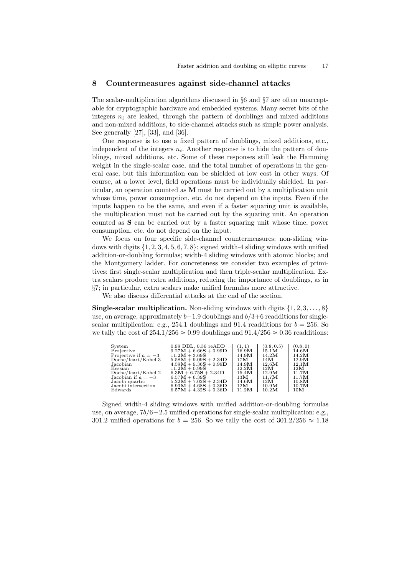#### 8 Countermeasures against side-channel attacks

The scalar-multiplication algorithms discussed in §6 and §7 are often unacceptable for cryptographic hardware and embedded systems. Many secret bits of the integers  $n_i$  are leaked, through the pattern of doublings and mixed additions and non-mixed additions, to side-channel attacks such as simple power analysis. See generally [27], [33], and [36].

One response is to use a fixed pattern of doublings, mixed additions, etc., independent of the integers  $n_i$ . Another response is to hide the pattern of doublings, mixed additions, etc. Some of these responses still leak the Hamming weight in the single-scalar case, and the total number of operations in the general case, but this information can be shielded at low cost in other ways. Of course, at a lower level, field operations must be individually shielded. In particular, an operation counted as M must be carried out by a multiplication unit whose time, power consumption, etc. do not depend on the inputs. Even if the inputs happen to be the same, and even if a faster squaring unit is available, the multiplication must not be carried out by the squaring unit. An operation counted as S can be carried out by a faster squaring unit whose time, power consumption, etc. do not depend on the input.

We focus on four specific side-channel countermeasures: non-sliding windows with digits  $\{1, 2, 3, 4, 5, 6, 7, 8\}$ ; signed width-4 sliding windows with unified addition-or-doubling formulas; width-4 sliding windows with atomic blocks; and the Montgomery ladder. For concreteness we consider two examples of primitives: first single-scalar multiplication and then triple-scalar multiplication. Extra scalars produce extra additions, reducing the importance of doublings, as in §7; in particular, extra scalars make unified formulas more attractive.

We also discuss differential attacks at the end of the section.

**Single-scalar multiplication.** Non-sliding windows with digits  $\{1, 2, 3, \ldots, 8\}$ use, on average, approximately  $b-1.9$  doublings and  $b/3+6$  readditions for singlescalar multiplication: e.g., 254.1 doublings and 91.4 readditions for  $b = 256$ . So we tally the cost of  $254.1/256 \approx 0.99$  doublings and  $91.4/256 \approx 0.36$  readditions:

| System                 | $0.99$ DBL, $0.36$ reADD | (1, 1)           | (0.8, 0.5) | (0.8, 0)        |
|------------------------|--------------------------|------------------|------------|-----------------|
| Projective             | $9.27M + 6.66S + 0.99D$  | $16.9\mathbf{M}$ | 15.1M      | 14.6M           |
| Projective if $a = -3$ | $11.2M + 3.69S$          | 14.9M            | 14.2M      | 14.2M           |
| Doche/Icart/Kohel 3    | $5.58M + 9.09S + 2.34D$  | 17M              | 14M        | 12.9M           |
| Jacobian               | $4.59M + 9.36S + 0.99D$  | 14.9M            | 12.6M      | 12.1M           |
| Hessian                | $11.2M + 0.99S$          | 12.2M            | 12M        | 12M             |
| Doche/Icart/Kohel 2    | $6.3M + 6.75S + 2.34D$   | 15.4M            | 12.9M      | 11.7M           |
| Jacobian if $a = -3$   | $6.57M + 6.39S$          | 13M              | 11.7M      | 11.7M           |
| Jacobi quartic         | $5.22M + 7.02S + 2.34D$  | 14.6M            | 12M        | 10.8M           |
| Jacobi intersection    | $6.93M + 4.68S + 0.36D$  | 12M              | 10.9M      | 10.7M           |
| Edwards                | $6.57M + 4.32S + 0.36D$  | 11.2M            | 10.2M      | 10 <sub>M</sub> |

Signed width-4 sliding windows with unified addition-or-doubling formulas use, on average,  $7b/6+2.5$  unified operations for single-scalar multiplication: e.g., 301.2 unified operations for  $b = 256$ . So we tally the cost of  $301.2/256 \approx 1.18$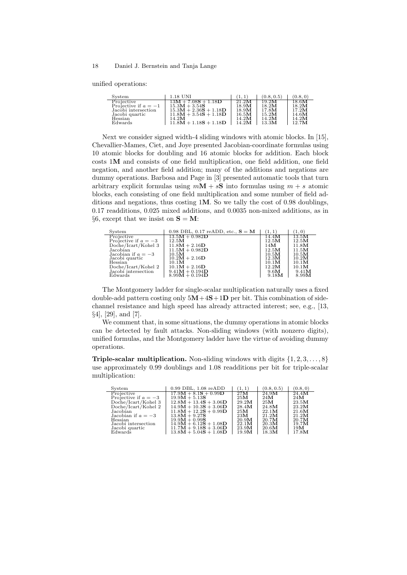unified operations:

 $\overline{a}$ 

| System                 | 1.18 UNI                |       | (0.8, 0.5) | (0.8, 0) |
|------------------------|-------------------------|-------|------------|----------|
| Projective             | $13M + 7.08S + 1.18D$   | 21.2M | 19.2M      | 18.6M    |
| Projective if $a = -1$ | $15.3M + 3.54S$         | 18.9M | 18.2M      | 18.2M    |
| Jacobi intersection    | $15.3M + 2.36S + 1.18D$ | 18.9M | 17.8M      | 17.2M    |
| Jacobi quartic         | $11.8M + 3.54S + 1.18D$ | 16.5M | 15.2M      | 14.6M    |
| Hessian                | 14.2M                   | 14.2M | 14.2M      | 14.2M    |
| Edwards                | $11.8M + 1.18S + 1.18D$ | 14.2M | 13.3M      | 12.7M    |

Next we consider signed width-4 sliding windows with atomic blocks. In [15], Chevallier-Mames, Ciet, and Joye presented Jacobian-coordinate formulas using 10 atomic blocks for doubling and 16 atomic blocks for addition. Each block costs 1M and consists of one field multiplication, one field addition, one field negation, and another field addition; many of the additions and negations are dummy operations. Barbosa and Page in [3] presented automatic tools that turn arbitrary explicit formulas using  $mM + sS$  into formulas using  $m + s$  atomic blocks, each consisting of one field multiplication and some number of field additions and negations, thus costing 1M. So we tally the cost of 0.98 doublings, 0.17 readditions, 0.025 mixed additions, and 0.0035 non-mixed additions, as in §6, except that we insist on  $S = M$ :

| System                 | 0.98 DBL, 0.17 reADD, etc., $S = M$ | (1, 1)          | (1,0)            |
|------------------------|-------------------------------------|-----------------|------------------|
| Projective             | $13.5M + 0.982D$                    | 14.4M           | $13.5\mathbf{M}$ |
| Projective if $a = -3$ | 12.5M                               | 12.5M           | 12.5M            |
| Doche/Icart/Kohel 3    | $11.8M + 2.16D$                     | 14 <sub>M</sub> | 11.8M            |
| Jacobian               | $11.5M + 0.982D$                    | 12.5M           | 11.5M            |
| Jacobian if $a = -3$   | 10.5M                               | 10.5M           | 10.5M            |
| Jacobi quartic         | $10.2M + 2.16D$                     | 12.3M           | 10.2M            |
| Hessian                | 10.1M                               | 10.1M           | 10.1M            |
| Doche/Icart/Kohel 2    | $10.1M + 2.16D$                     | 12.2M           | 10.1M            |
| Jacobi intersection    | $9.41M + 0.194D$                    | 9.6M            | 9.41M            |
| Edwards                | $8.99M + 0.194D$                    | 9.18M           | 8.99M            |

The Montgomery ladder for single-scalar multiplication naturally uses a fixed double-add pattern costing only  $5M+4S+1D$  per bit. This combination of sidechannel resistance and high speed has already attracted interest; see, e.g., [13, §4], [29], and [7].

We comment that, in some situations, the dummy operations in atomic blocks can be detected by fault attacks. Non-sliding windows (with nonzero digits), unified formulas, and the Montgomery ladder have the virtue of avoiding dummy operations.

**Triple-scalar multiplication.** Non-sliding windows with digits  $\{1, 2, 3, \ldots, 8\}$ use approximately 0.99 doublings and 1.08 readditions per bit for triple-scalar multiplication:

| System                 | $0.99$ DBL, $1.08$ reADD | (1, 1) | (0.8, 0.5) | (0.8, 0) |
|------------------------|--------------------------|--------|------------|----------|
| Projective             | $17.9M + 8.1S + 0.99D$   | 27M    | 24.9M      | 24.4M    |
| Projective if $a = -3$ | $19.9M + 5.13S$          | 25M    | 24M        | 24M      |
| Doche/Icart/Kohel 3    | $12.8M + 13.4S + 3.06D$  | 29.2M  | 25M        | 23.5M    |
| Doche/Icart/Kohel 2    | $14.9M + 10.3S + 3.06D$  | 28.4M  | 24.8M      | 23.2M    |
| Jacobian               | $11.8M + 12.2S + 0.99D$  | 25M    | 22.1M      | 21.6M    |
| Jacobian if $a = -3$   | $13.8M + 9.27S$          | 23M    | 21.2M      | 21.2M    |
| Hessian                | $19.9M + 0.99S$          | 20.9M  | 20.7M      | 20.7M    |
| Jacobi intersection    | $14.9M + 6.12S + 1.08D$  | 22.1M  | 20.3M      | 19.7M    |
| Jacobi quartic         | $11.7M + 9.18S + 3.06D$  | 23.9M  | 20.6M      | 19M      |
| Edwards                | $13.8M + 5.04S + 1.08D$  | 19.9M  | 18.3M      | 17.8M    |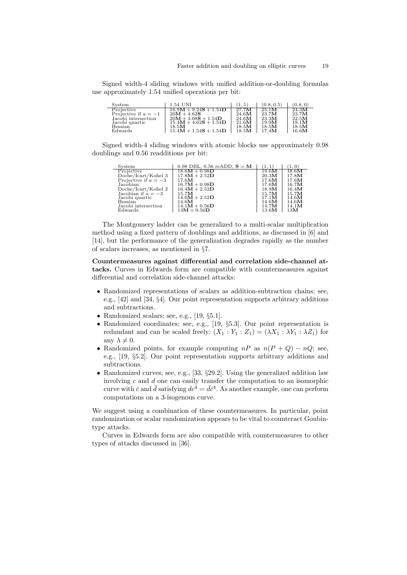Signed width-4 sliding windows with unified addition-or-doubling formulas use approximately 1.54 unified operations per bit:

| System                 | 1.54 UNI                | (1.1) | (0.8, 0.5) | (0.8, 0) |
|------------------------|-------------------------|-------|------------|----------|
| Projective             | $16.9M + 9.24S + 1.54D$ | 27.7M | 25.1M      | 24.3M    |
| Projective if $a = -1$ | $20M + 4.62S$           | 24.6M | 23.7M      | 23.7M    |
| Jacobi intersection    | $20M + 3.08S + 1.54D$   | 24.6M | 23.3M      | 22.5M    |
| Jacobi quartic         | $15.4M + 4.62S + 1.54D$ | 21.6M | 19.9M      | 19.1M    |
| Hessian                | 18.5M                   | 18.5M | 18.5M      | 18.5M    |
| Edwards                | $15.4M + 1.54S + 1.54D$ | 18.5M | 17.4M      | 16.6M    |

Signed width-4 sliding windows with atomic blocks use approximately 0.98 doublings and 0.56 readditions per bit:

| System                 | 0.98 DBL, 0.56 reADD, $S = M$ |       | (1, 0) |
|------------------------|-------------------------------|-------|--------|
| Projective             | $18.6M + 0.98D$               | 19.6M | 18.6M  |
| Doche/Icart/Kohel 3    | $17.8M + 2.52D$               | 20.3M | 17.8M  |
| Projective if $a = -3$ | 17.6M                         | 17.6M | 17.6M  |
| Jacobian               | $16.7M + 0.98D$               | 17.6M | 16.7M  |
| Doche/Icart/Kohel 2    | $16.4M + 2.52D$               | 18.9M | 16.4M  |
| Jacobian if $a = -3$   | 15.7M                         | 15.7M | 15.7M  |
| Jacobi quartic         | $14.6M + 2.52D$               | 17.1M | 14.6M  |
| Hessian                | 14.6M                         | 14.6M | 14.6M  |
| Jacobi intersection    | $14.1M + 0.56D$               | 14.7M | 14.1M  |
| Edwards                | $13M + 0.56D$                 | 13.6M | 13M    |

The Montgomery ladder can be generalized to a multi-scalar multiplication method using a fixed pattern of doublings and additions, as discussed in [6] and [14], but the performance of the generalization degrades rapidly as the number of scalars increases, as mentioned in §7.

Countermeasures against differential and correlation side-channel attacks. Curves in Edwards form are compatible with countermeasures against differential and correlation side-channel attacks:

- Randomized representations of scalars as addition-subtraction chains; see, e.g., [42] and [34, §4]. Our point representation supports arbitrary additions and subtractions.
- Randomized scalars; see, e.g., [19, §5.1].
- Randomized coordinates; see, e.g., [19, §5.3]. Our point representation is redundant and can be scaled freely:  $(X_1 : Y_1 : Z_1) = (\lambda X_1 : \lambda Y_1 : \lambda Z_1)$  for any  $\lambda \neq 0$ .
- Randomized points, for example computing  $nP$  as  $n(P + Q) nQ$ ; see, e.g., [19, §5.2]. Our point representation supports arbitrary additions and subtractions.
- Randomized curves; see, e.g., [33, §29.2]. Using the generalized addition law involving  $c$  and  $d$  one can easily transfer the computation to an isomorphic curve with  $\bar{c}$  and  $\bar{d}$  satisfying  $dc^4 = \bar{d}\bar{c}^4$ . As another example, one can perform computations on a 3-isogenous curve.

We suggest using a combination of these countermeasures. In particular, point randomization or scalar randomization appears to be vital to counteract Goubintype attacks.

Curves in Edwards form are also compatible with countermeasures to other types of attacks discussed in [36].